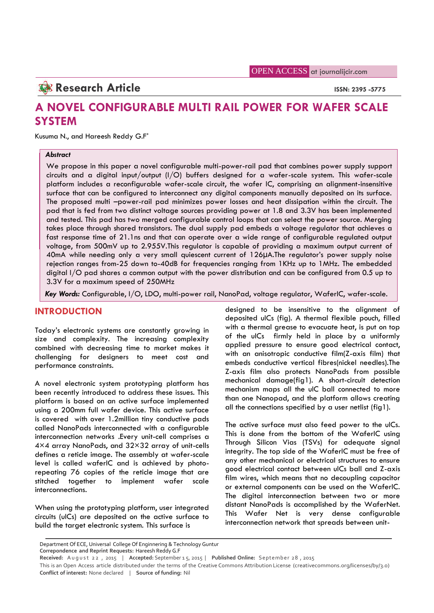**OPEN ACCESS** at journalijcir.com

**Research Article ISSN: 2395 -5775** 

# **A NOVEL CONFIGURABLE MULTI RAIL POWER FOR WAFER SCALE SYSTEM**

Kusuma N., and Hareesh Reddy G.F\*

# *Abstract*

We propose in this paper a novel configurable multi-power-rail pad that combines power supply support circuits and a digital input/output (I/O) buffers designed for a wafer-scale system. This wafer-scale platform includes a reconfigurable wafer-scale circuit, the wafer IC, comprising an alignment-insensitive surface that can be configured to interconnect any digital components manually deposited on its surface. The proposed multi –power-rail pad minimizes power losses and heat dissipation within the circuit. The pad that is fed from two distinct voltage sources providing power at 1.8 and 3.3V has been implemented and tested. This pad has two merged configurable control loops that can select the power source. Merging takes place through shared transistors. The dual supply pad embeds a voltage regulator that achieves a fast response time of 21.1ns and that can operate over a wide range of configurable regulated output voltage, from 500mV up to 2.955V.This regulator is capable of providing a maximum output current of 40mA while needing only a very small quiescent current of 126µA.The regulator's power supply noise rejection ranges from-25 down to-40dB for frequencies ranging from 1KHz up to 1MHz. The embedded digital I/O pad shares a common output with the power distribution and can be configured from 0.5 up to 3.3V for a maximum speed of 250MHz

*Key Words:* Configurable, I/O, LDO, multi-power rail, NanoPad, voltage regulator, WaferIC, wafer-scale.

# **INTRODUCTION**

Today's electronic systems are constantly growing in size and complexity. The increasing complexity combined with decreasing time to market makes it challenging for designers to meet cost and performance constraints.

A novel electronic system prototyping platform has been recently introduced to address these issues. This platform is based on an active surface implemented using a 200mm full wafer device. This active surface is covered with over 1.2million tiny conductive pads called NanoPads interconnected with a configurable interconnection networks .Every unit-cell comprises a 4×4 array NanoPads, and 32×32 array of unit-cells defines a reticle image. The assembly at wafer-scale level is called waferIC and is achieved by photorepeating 76 copies of the reticle image that are stitched together to implement wafer scale interconnections.

When using the prototyping platform, user integrated circuits (uICs) are deposited on the active surface to build the target electronic system. This surface is

designed to be insensitive to the alignment of deposited uICs (fig). A thermal flexible pouch, filled with a thermal grease to evacuate heat, is put on top of the uICs firmly held in place by a uniformly applied pressure to ensure good electrical contact, with an anisotropic conductive film(Z-axis film) that embeds conductive vertical fibres(nickel needles).The Z-axis film also protects NanoPads from possible mechanical damage(fig1). A short-circuit detection mechanism maps all the uIC ball connected to more than one Nanopad, and the platform allows creating all the connections specified by a user netlist (fig1).

The active surface must also feed power to the uICs. This is done from the bottom of the WaferIC using Through Silicon Vias (TSVs) for adequate signal integrity. The top side of the WaferIC must be free of any other mechanical or electrical structures to ensure good electrical contact between uICs ball and Z-axis film wires, which means that no decoupling capacitor or external components can be used on the WaferIC. The digital interconnection between two or more distant NanoPads is accomplished by the WaferNet. This Wafer Net is very dense configurable interconnection network that spreads between unit-

Department Of ECE, Universal College Of Enginnering & Technology Guntur

**Correpondence and Reprint Requests:** Hareesh Reddy G.F

uild the target electronic system. This surface is<br>Department Of ECE, Universal College Of Enginnering & Technology Guntur<br>Correpondence and Reprint Requests: Hareesh Reddy G.F<br>Received: August 22, 2015 | Accepted: Septemb **Conflict of interest:** None declared | **Source of funding:** Nil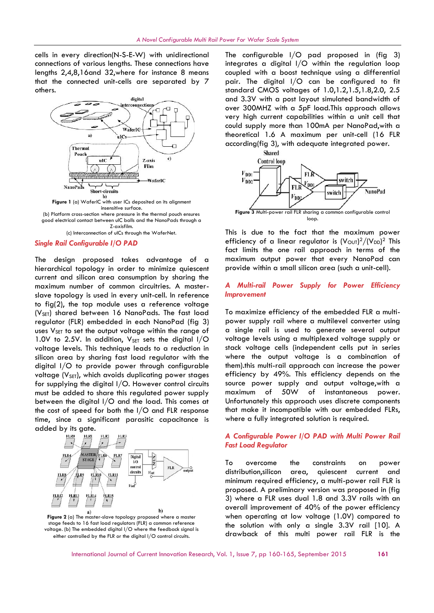cells in every direction(N-S-E-W) with unidirectional connections of various lengths. These connections have lengths 2,4,8,16and 32,where for instance 8 means that the connected unit-cells are separated by 7 others.



#### *Single Rail Configurable I/O PAD*

The design proposed takes advantage of a hierarchical topology in order to minimize quiescent current and silicon area consumption by sharing the maximum number of common circuitries. A masterslave topology is used in every unit-cell. In reference to fig(2), the top module uses a reference voltage ( $V_{SET}$ ) shared between 16 NanoPads. The fast load regulator (FLR) embedded in each NanoPad (fig 3) uses  $V_{\text{SET}}$  to set the output voltage within the range of 1.0V to 2.5V. In addition,  $V_{\text{SET}}$  sets the digital I/O voltage levels. This technique leads to a reduction in silicon area by sharing fast load regulator with the digital I/O to provide power through configurable voltage  $(V_{\text{SET}})$ , which avoids duplicating power stages for supplying the digital I/O. However control circuits must be added to share this regulated power supply between the digital I/O and the load. This comes at the cost of speed for both the I/O and FLR response time, since a significant parasitic capacitance is added by its gate.



**Figure 2** (a) The master-slave topology proposed where a master stage feeds to 16 fast load regulators (FLR) a common reference voltage. (b) The embedded digital I/O where the feedback signal is either controlled by the FLR or the digital I/O control circuits.

The configurable I/O pad proposed in (fig 3) integrates a digital I/O within the regulation loop coupled with a boost technique using a differential pair. The digital I/O can be configured to fit standard CMOS voltages of 1.0,1.2,1.5,1.8,2.0, 2.5 and 3.3V with a post layout simulated bandwidth of over 300MHZ with a 5pF load.This approach allows very high current capabilities within a unit cell that could supply more than 100mA per NanoPad,with a theoretical 1.6 A maximum per unit-cell (16 FLR according(fig 3), with adequate integrated power.



This is due to the fact that the maximum power efficiency of a linear regulator is  $(V_{\text{OUT}})^2/(V_{\text{DD}})^2$  This fact limits the one rail approach in terms of the maximum output power that every NanoPad can provide within a small silicon area (such a unit-cell).

#### *A Multi-rail Power Supply for Power Efficiency Improvement*

To maximize efficiency of the embedded FLR a multi power supply rail where a multilevel converter using a single rail is used to generate several output voltage levels using a multiplexed voltage supply or stack voltage cells (independent cells put in series where the output voltage is a combination of them).this multi-rail approach can increase the power efficiency by 49%. This efficiency depends on the source power supply and output voltage,with a of 50W of instantaneous power. Unfortunately this approach uses discrete components that make it incompatible with our embedded FLRs, where a fully integrated solution is required.

### *A Configurable Power I/O PAD with Multi Power Rail Fast Load Regulator*

To overcome the constraints on power distribution,silicon area, quiescent current and minimum required efficiency, a multi-power rail FLR is proposed. A preliminary version was proposed in (fig 3) where a FLR uses dual 1.8 and 3.3V rails with an overall improvement of 40% of the power efficiency when operating at low voltage (1.0V) compared to the solution with only a single 3.3V rail [10]. A drawback of this multi power rail FLR is the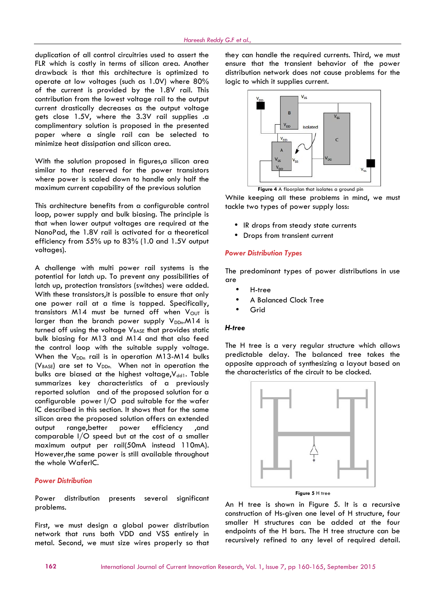duplication of all control circuitries used to assert the FLR which is costly in terms of silicon area. Another drawback is that this architecture is optimized to operate at low voltages (such as 1.0V) where 80% of the current is provided by the 1.8V rail. This contribution from the lowest voltage rail to the output current drastically decreases as the output voltage gets close 1.5V, where the 3.3V rail supplies .a complimentary solution is proposed in the presented paper where a single rail can be selected to minimize heat dissipation and silicon area.

With the solution proposed in figures, a silicon area similar to that reserved for the power transistors where power is scaled down to handle only half the maximum current capability of the previous solution

This architecture benefits from a configurable control loop, power supply and bulk biasing. The principle is that when lower output voltages are required at the NanoPad, the 1.8V rail is activated for a theoretical efficiency from 55% up to 83% (1.0 and 1.5V output voltages).

A challenge with multi power rail systems is the potential for latch up. To prevent any possibilities of latch up, protection transistors (switches) were added. With these transistors,it is possible to ensure that only one power rail at a time is tapped. Specifically, transistors  $M14$  must be turned off when  $V_{OUT}$  is larger than the branch power supply  $V_{DDn}$ .M14 is turned off using the voltage  $V_{BASE}$  that provides static bulk biasing for M13 and M14 and that also feed the control loop with the suitable supply voltage. When the  $V_{DDn}$  rail is in operation M13-M14 bulks ( $V_{BASE}$ ) are set to  $V_{DDn}$ . When not in operation the bulks are biased at the highest voltage,  $V_{dd1}$ . Table summarizes key characteristics of a previously reported solution and of the proposed solution for a configurable power I/O pad suitable for the wafer IC described in this section. It shows that for the same silicon area the proposed solution offers an extended output range, better power efficiency , and comparable I/O speed but at the cost of a smaller maximum output per rail(50mA instead 110mA). However,the same power is still available throughout the whole WaferIC.

#### *Power Distribution*

Power distribution presents several significant problems.

First, we must design a global power distribution network that runs both VDD and VSS entirely in metal. Second, we must size wires properly so that they can handle the required currents. Third, we must ensure that the transient behavior of the power distribution network does not cause problems for the logic to which it supplies current.



While keeping all these problems in mind, we must tackle two types of power supply loss:

- IR drops from steady state currents
- Drops from transient current

# *Power Distribution Types*

The predominant types of power distributions in use are

- H-tree
- A Balanced Clock Tree
- Grid

#### *H-tree*

The H tree is a very regular structure which allows predictable delay. The balanced tree takes the opposite approach of synthesizing a layout based on the characteristics of the circuit to be clocked.



**Figure 5** H tree

An H tree is shown in Figure 5. It is a recursive construction of Hs-given one level of H structure, four smaller H structures can be added at the four endpoints of the H bars. The H tree structure can be recursively refined to any level of required detail.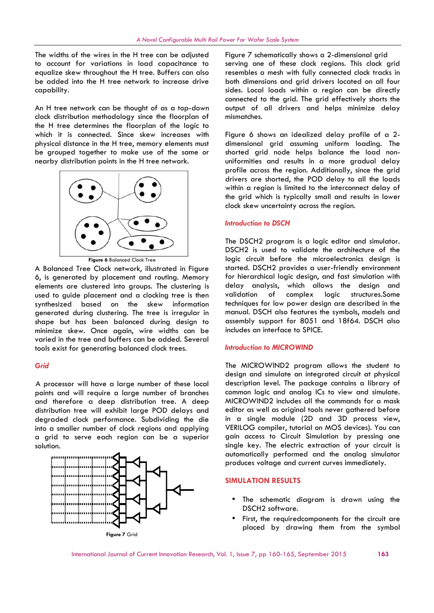The widths of the wires in the H tree can be adjusted to account for variations in load capacitance to equalize skew throughout the H tree. Buffers can also be added into the H tree network to increase drive capability.

An H tree network can be thought of as a top-down clock distribution methodology since the floorplan of the H tree determines the floorplan of the logic to which it is connected. Since skew increases with physical distance in the H tree, memory elements must be grouped together to make use of the same or nearby distribution points in the H tree network.



**Figure 6** Balanced Clock Tree

A Balanced Tree Clock network, illustrated in Figure 6, is generated by placement and routing. Memory elements are clustered into groups. The clustering is used to guide placement and a clocking tree is then validation synthesized based on the skew information generated during clustering. The tree is irregular in shape but has been balanced during design to minimize skew. Once again, wire widths can be varied in the tree and buffers can be added. Several tools exist for generating balanced clock trees.

#### *Grid*

A processor will have a large number of these local points and will require a large number of branches and therefore a deep distribution tree. A deep distribution tree will exhibit large POD delays and degraded clock performance. Subdividing the die into a smaller number of clock regions and applying a grid to serve each region can be a superior solution.



Figure 7 schematically shows a 2-dimensional grid serving one of these clock regions. This clock grid resembles a mesh with fully connected clock tracks in both dimensions and grid drivers located on all four sides. Local loads within a region can be directly connected to the grid. The grid effectively shorts the output of all drivers and helps minimize delay mismatches.

Figure 6 shows an idealized delay profile of a 2 dimensional grid assuming uniform loading. The shorted grid node helps balance the load non uniformities and results in a more gradual delay profile across the region. Additionally, since the grid drivers are shorted, the POD delay to all the loads within a region is limited to the interconnect delay of the grid which is typically small and results in lower clock skew uncertainty across the region.

#### *Introduction to DSCH*

The DSCH2 program is a logic editor and simulator. DSCH2 is used to validate the architecture of the logic circuit before the microelectronics design is started. DSCH2 provides a user-friendly environment for hierarchical logic design, and fast simulation with delay analysis, which allows the design and of complex logic structures.Some techniques for low power design are described in the manual. DSCH also features the symbols, models and assembly support for 8051 and 18f64. DSCH also includes an interface to SPICE.

#### *Introduction to MICROWIND*

The MICROWIND2 program allows the student to design and simulate an integrated circuit at physical description level. The package contains a library of common logic and analog ICs to view and simulate. MICROWIND2 includes all the commands for a mask editor as well as original tools never gathered before in a single module (2D and 3D process view, VERILOG compiler, tutorial on MOS devices). You can gain access to Circuit Simulation by pressing one single key. The electric extraction of your circuit is automatically performed and the analog simulator produces voltage and current curves immediately.

#### **SIMULATION RESULTS**

- The schematic diagram is drawn using the DSCH2 software.
- First, the requiredcomponents for the circuit are placed by drawing them from the symbol

International Journal of Current Innovation Research, Vol. 1, Issue 7, pp 160-165, September 2015 **163**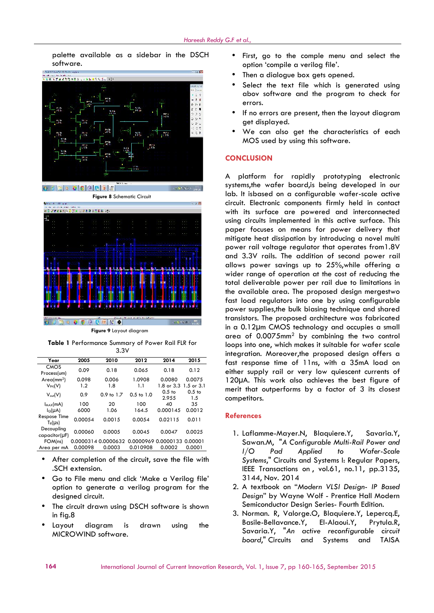palette available as a sidebar in the DSCH software.





**Table 1** Performance Summary of Power Rail FLR for 3.3V

| Year                 | 2005    | 2010           | 2012                                            | 2014                  | 2015              |
|----------------------|---------|----------------|-------------------------------------------------|-----------------------|-------------------|
| <b>CMOS</b>          | 0.09    | 0.18           | 0.065                                           | 0.18                  | 0.12              |
| Process(um)          |         |                |                                                 |                       |                   |
| Area/mm <sup>2</sup> | 0.098   | 0.006          | 1.0908                                          | 0.0080                | 0.0075            |
| $V_{INI}(V)$         | 1.2     | 1.8            | 1.1                                             | 1.8 or 3.3 1.5 or 3.1 |                   |
| $V_{\text{out}}(V)$  | 0.9     | $0.9$ to $1.7$ | $0.5$ to $1.0$                                  | $0.5$ to              | 0.5 <sub>to</sub> |
|                      |         |                |                                                 | 2.955                 | 1.5               |
| $I_{MAX}(mA)$        | 100     | 20             | 100                                             | 40                    | 35                |
| $I_{\odot}(\mu A)$   | 6000    | 1.06           | 164.5                                           | 0.000145              | 0.0012            |
| Respose Time         | 0.00054 | 0.0015         | 0.0054                                          | 0.02115               | 0.011             |
| $T_R(\mu s)$         |         |                |                                                 |                       |                   |
| Decoupling           | 0.00060 | 0.0005         | 0.0045                                          | 0.0047                | 0.0025            |
| capacitor(IF)        |         |                |                                                 |                       |                   |
| FOM(ns)              |         |                | 0.0000314 0.0000632 0.0000969 0.0000133 0.00001 |                       |                   |
| Area per mA          | 0.00098 | 0.0003         | 0.010908                                        | 0.0002                | 0.0001            |

- After completion of the circuit, save the file with .SCH extension.
- Go to File menu and click 'Make a Verilog file' option to generate a verilog program for the designed circuit.
- The circuit drawn using DSCH software is shown in fig.8
- Layout diagram is drawn using the MICROWIND software.
- First, go to the comple menu and select the option 'compile a verilog file'.
- Then a dialogue box gets opened.
- Select the text file which is generated using abov software and the program to check for errors.
- If no errors are present, then the layout diagram get displayed.
- We can also get the characteristics of each MOS used by using this software.

# **CONCLUSION**

A platform for rapidly prototyping electronic systems,the wafer board,is being developed in our lab. It isbased on a configurable wafer-scale active circuit. Electronic components firmly held in contact with its surface are powered and interconnected using circuits implemented in this active surface. This paper focuses on means for power delivery that mitigate heat dissipation by introducing a novel multi power rail voltage regulator that operates from1.8V and 3.3V rails. The addition of second power rail allows power savings up to 25%,while offering a wider range of operation at the cost of reducing the total deliverable power per rail due to limitations in the available area. The proposed design mergestwo fast load regulators into one by using configurable power supplies,the bulk biasing technique and shared transistors. The proposed architecture was fabricated in a 0.12µm CMOS technology and occupies a small area of 0.0075mm<sup>2</sup> by combining the two control loops into one, which makes it suitable for wafer scale integration. Moreover,the proposed design offers a fast response time of 11ns, with a 35mA load on either supply rail or very low quiescent currents of 120µA. This work also achieves the best figure of merit that outperforms by a factor of 3 its closest competitors.

# **References**

- 1. Laflamme-Mayer.N, Blaquiere.Y, Savaria.Y, Sawan.M, "*A Configurable Multi-Rail Power and I/O Pad Applied to Wafer-Scale Systems*," Circuits and Systems I: Regular Papers, IEEE Transactions on , vol.61, no.11, pp.3135, 3144, Nov. 2014
- 2. A textbook on "*Modern VLSI Design- IP Based Design*" by Wayne Wolf - Prentice Hall Modern Semiconductor Design Series- Fourth Edition.
- 3. Norman. R, Valorge.O, Blaquiere.Y, Lepercq.E, Basile-Bellavance.Y, El-Alaoui.Y, Prytula.R, Savaria.Y, "*An active reconfigurable circuit board*," Circuits and Systems and TAISA